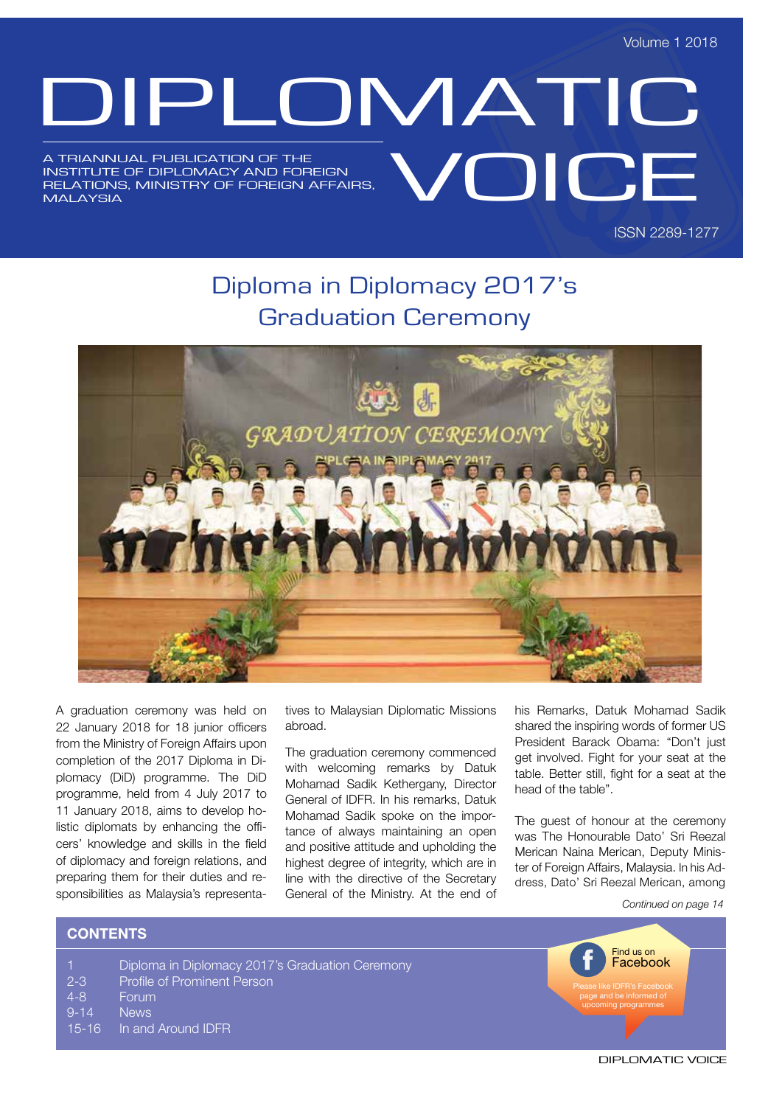# **DIPLOMATIC** VOICE

A TRIANNUAL PUBLICATION OF THE INSTITUTE OF DIPLOMACY AND FOREIGN RELATIONS, MINISTRY OF FOREIGN AFFAIRS, **MALAYSIA** 

ISSN 2289-1277

# Diploma in Diplomacy 2017's Graduation Ceremony



A graduation ceremony was held on 22 January 2018 for 18 junior officers from the Ministry of Foreign Affairs upon completion of the 2017 Diploma in Diplomacy (DiD) programme. The DiD programme, held from 4 July 2017 to 11 January 2018, aims to develop holistic diplomats by enhancing the officers' knowledge and skills in the field of diplomacy and foreign relations, and preparing them for their duties and responsibilities as Malaysia's representatives to Malaysian Diplomatic Missions abroad.

The graduation ceremony commenced with welcoming remarks by Datuk Mohamad Sadik Kethergany, Director General of IDFR. In his remarks, Datuk Mohamad Sadik spoke on the importance of always maintaining an open and positive attitude and upholding the highest degree of integrity, which are in line with the directive of the Secretary General of the Ministry. At the end of

his Remarks, Datuk Mohamad Sadik shared the inspiring words of former US President Barack Obama: "Don't just get involved. Fight for your seat at the table. Better still, fight for a seat at the head of the table".

The guest of honour at the ceremony was The Honourable Dato' Sri Reezal Merican Naina Merican, Deputy Minister of Foreign Affairs, Malaysia. In his Address, Dato' Sri Reezal Merican, among

#### *Continued on page 14*

#### **CONTENTS**

| $\vert$ 1 | Diploma in Diplomacy 2017's Graduation Ceremony |
|-----------|-------------------------------------------------|
| $2 - 3$   | <b>Profile of Prominent Person</b>              |
| $4 - 8$   | <b>Forum</b>                                    |
| $9 - 14$  | <b>News</b>                                     |
| $15-16$   | In and Around IDFR                              |



DIPLOMATIC VOICE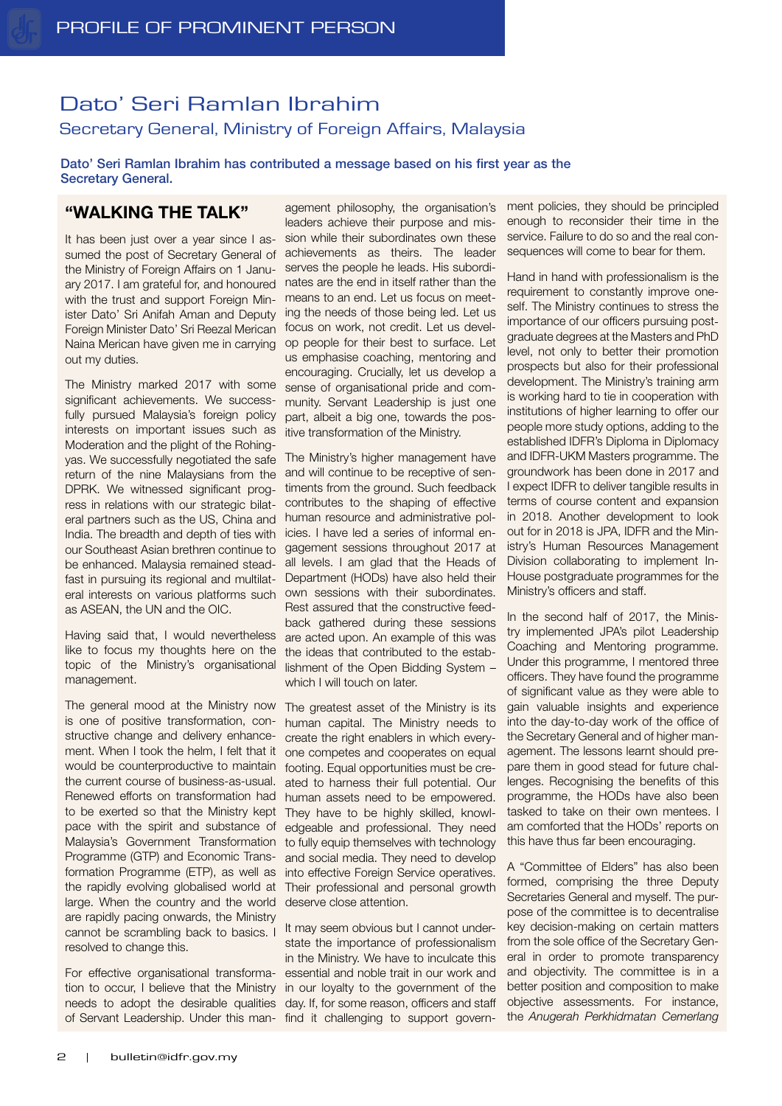## Dato' Seri Ramlan Ibrahim Secretary General, Ministry of Foreign Affairs, Malaysia

Dato' Seri Ramlan Ibrahim has contributed a message based on his first year as the Secretary General.

### "WALKING THE TALK"

the Ministry of Foreign Affairs on 1 Janu-serves the people he leads. His subordiwith the trust and support Foreign Minister Dato' Sri Anifah Aman and Deputy Foreign Minister Dato' Sri Reezal Merican out my duties.

The Ministry marked 2017 with some significant achievements. We successfully pursued Malaysia's foreign policy interests on important issues such as Moderation and the plight of the Rohingyas. We successfully negotiated the safe The Ministry's higher management have return of the nine Malaysians from the and will continue to be receptive of sen-DPRK. We witnessed significant progress in relations with our strategic bilateral partners such as the US, China and human resource and administrative pol-India. The breadth and depth of ties with our Southeast Asian brethren continue to be enhanced. Malaysia remained steadfast in pursuing its regional and multilateral interests on various platforms such own sessions with their subordinates. as ASEAN, the UN and the OIC.

Having said that, I would nevertheless like to focus my thoughts here on the topic of the Ministry's organisational lishment of the Open Bidding System – management.

is one of positive transformation, con-human capital. The Ministry needs to structive change and delivery enhancement. When I took the helm, I felt that it one competes and cooperates on equal would be counterproductive to maintain footing. Equal opportunities must be crethe current course of business-as-usual. ated to harness their full potential. Our Renewed efforts on transformation had human assets need to be empowered. to be exerted so that the Ministry kept They have to be highly skilled, knowlpace with the spirit and substance of edgeable and professional. They need Malaysia's Government Transformation to fully equip themselves with technology Programme (GTP) and Economic Trans-and social media. They need to develop formation Programme (ETP), as well as into effective Foreign Service operatives. the rapidly evolving globalised world at Their professional and personal growth large. When the country and the world deserve close attention. are rapidly pacing onwards, the Ministry cannot be scrambling back to basics. I resolved to change this.

of Servant Leadership. Under this man-find it challenging to support govern-

It has been just over a year since I as-sion while their subordinates own these sumed the post of Secretary General of achievements as theirs. The leader ary 2017. I am grateful for, and honoured nates are the end in itself rather than the Naina Merican have given me in carrying op people for their best to surface. Let agement philosophy, the organisation's leaders achieve their purpose and mismeans to an end. Let us focus on meeting the needs of those being led. Let us focus on work, not credit. Let us develus emphasise coaching, mentoring and encouraging. Crucially, let us develop a sense of organisational pride and community. Servant Leadership is just one part, albeit a big one, towards the positive transformation of the Ministry.

> timents from the ground. Such feedback contributes to the shaping of effective icies. I have led a series of informal engagement sessions throughout 2017 at all levels. I am glad that the Heads of Department (HODs) have also held their Rest assured that the constructive feedback gathered during these sessions are acted upon. An example of this was the ideas that contributed to the estabwhich I will touch on later.

The general mood at the Ministry now The greatest asset of the Ministry is its create the right enablers in which every-

For effective organisational transforma-essential and noble trait in our work and tion to occur, I believe that the Ministry in our loyalty to the government of the needs to adopt the desirable qualities day. If, for some reason, officers and staff It may seem obvious but I cannot understate the importance of professionalism in the Ministry. We have to inculcate this

ment policies, they should be principled enough to reconsider their time in the service. Failure to do so and the real consequences will come to bear for them.

Hand in hand with professionalism is the requirement to constantly improve oneself. The Ministry continues to stress the importance of our officers pursuing postgraduate degrees at the Masters and PhD level, not only to better their promotion prospects but also for their professional development. The Ministry's training arm is working hard to tie in cooperation with institutions of higher learning to offer our people more study options, adding to the established IDFR's Diploma in Diplomacy and IDFR-UKM Masters programme. The groundwork has been done in 2017 and I expect IDFR to deliver tangible results in terms of course content and expansion in 2018. Another development to look out for in 2018 is JPA, IDFR and the Ministry's Human Resources Management Division collaborating to implement In-House postgraduate programmes for the Ministry's officers and staff.

In the second half of 2017, the Ministry implemented JPA's pilot Leadership Coaching and Mentoring programme. Under this programme, I mentored three officers. They have found the programme of significant value as they were able to gain valuable insights and experience into the day-to-day work of the office of the Secretary General and of higher management. The lessons learnt should prepare them in good stead for future challenges. Recognising the benefits of this programme, the HODs have also been tasked to take on their own mentees. I am comforted that the HODs' reports on this have thus far been encouraging.

A "Committee of Elders" has also been formed, comprising the three Deputy Secretaries General and myself. The purpose of the committee is to decentralise key decision-making on certain matters from the sole office of the Secretary General in order to promote transparency and objectivity. The committee is in a better position and composition to make objective assessments. For instance, the *Anugerah Perkhidmatan Cemerlang*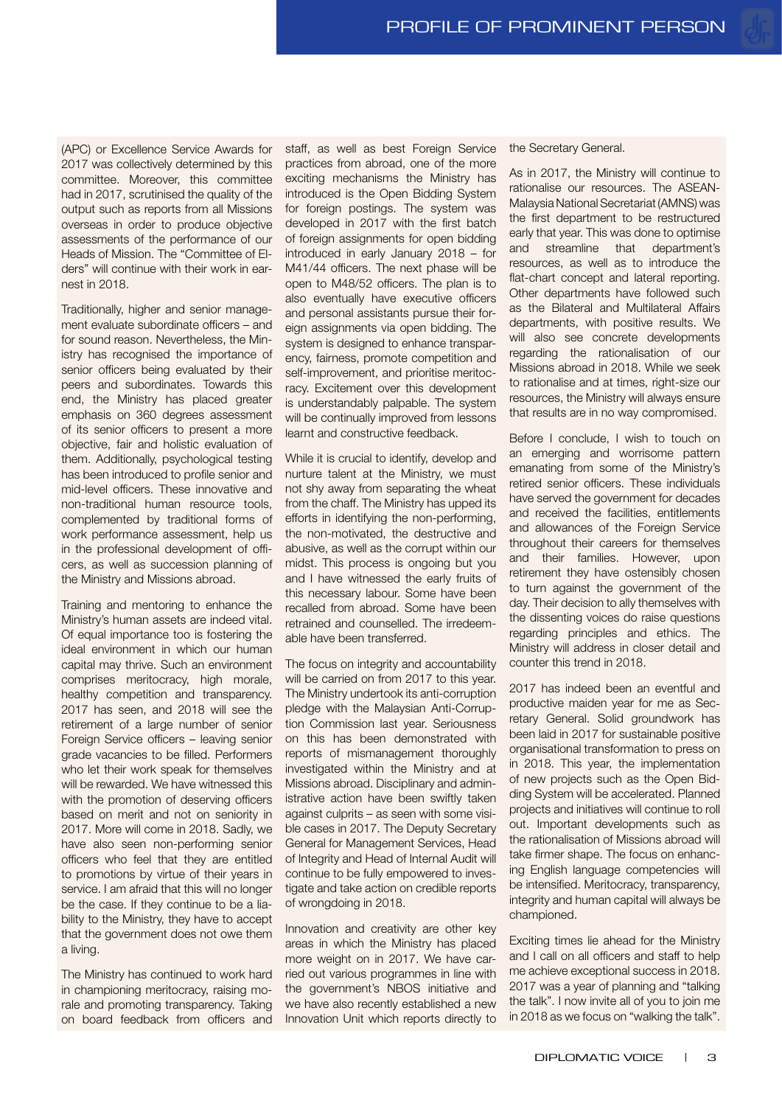(APC) or Excellence Service Awards for 2017 was collectively determined by this committee. Moreover, this committee had in 2017, scrutinised the quality of the output such as reports from all Missions overseas in order to produce objective assessments of the performance of our Heads of Mission. The "Committee of Elders" will continue with their work in earnest in 2018.

Traditionally, higher and senior management evaluate subordinate officers – and for sound reason. Nevertheless, the Ministry has recognised the importance of senior officers being evaluated by their peers and subordinates. Towards this end, the Ministry has placed greater emphasis on 360 degrees assessment of its senior officers to present a more objective, fair and holistic evaluation of them. Additionally, psychological testing has been introduced to profile senior and mid-level officers. These innovative and non-traditional human resource tools, complemented by traditional forms of work performance assessment, help us in the professional development of officers, as well as succession planning of the Ministry and Missions abroad.

Training and mentoring to enhance the Ministry's human assets are indeed vital. Of equal importance too is fostering the ideal environment in which our human capital may thrive. Such an environment comprises meritocracy, high morale, healthy competition and transparency. 2017 has seen, and 2018 will see the retirement of a large number of senior Foreign Service officers – leaving senior grade vacancies to be filled. Performers who let their work speak for themselves will be rewarded. We have witnessed this with the promotion of deserving officers based on merit and not on seniority in 2017. More will come in 2018. Sadly, we have also seen non-performing senior officers who feel that they are entitled to promotions by virtue of their years in service. I am afraid that this will no longer be the case. If they continue to be a liability to the Ministry, they have to accept that the government does not owe them a living.

The Ministry has continued to work hard in championing meritocracy, raising morale and promoting transparency. Taking on board feedback from officers and staff, as well as best Foreign Service practices from abroad, one of the more exciting mechanisms the Ministry has introduced is the Open Bidding System for foreign postings. The system was developed in 2017 with the first batch of foreign assignments for open bidding introduced in early January 2018 – for M41/44 officers. The next phase will be open to M48/52 officers. The plan is to also eventually have executive officers and personal assistants pursue their foreign assignments via open bidding. The system is designed to enhance transparency, fairness, promote competition and self-improvement, and prioritise meritocracy. Excitement over this development is understandably palpable. The system will be continually improved from lessons learnt and constructive feedback.

While it is crucial to identify, develop and nurture talent at the Ministry, we must not shy away from separating the wheat from the chaff. The Ministry has upped its efforts in identifying the non-performing, the non-motivated, the destructive and abusive, as well as the corrupt within our midst. This process is ongoing but you and I have witnessed the early fruits of this necessary labour. Some have been recalled from abroad. Some have been retrained and counselled. The irredeemable have been transferred.

The focus on integrity and accountability will be carried on from 2017 to this year. The Ministry undertook its anti-corruption pledge with the Malaysian Anti-Corruption Commission last year. Seriousness on this has been demonstrated with reports of mismanagement thoroughly investigated within the Ministry and at Missions abroad. Disciplinary and administrative action have been swiftly taken against culprits – as seen with some visible cases in 2017. The Deputy Secretary General for Management Services, Head of Integrity and Head of Internal Audit will continue to be fully empowered to investigate and take action on credible reports of wrongdoing in 2018.

Innovation and creativity are other key areas in which the Ministry has placed more weight on in 2017. We have carried out various programmes in line with the government's NBOS initiative and we have also recently established a new Innovation Unit which reports directly to

#### the Secretary General.

As in 2017, the Ministry will continue to rationalise our resources. The ASEAN-Malaysia National Secretariat (AMNS) was the first department to be restructured early that year. This was done to optimise and streamline that department's resources, as well as to introduce the flat-chart concept and lateral reporting. Other departments have followed such as the Bilateral and Multilateral Affairs departments, with positive results. We will also see concrete developments regarding the rationalisation of our Missions abroad in 2018. While we seek to rationalise and at times, right-size our resources, the Ministry will always ensure that results are in no way compromised.

Before I conclude, I wish to touch on an emerging and worrisome pattern emanating from some of the Ministry's retired senior officers. These individuals have served the government for decades and received the facilities, entitlements and allowances of the Foreign Service throughout their careers for themselves and their families. However, upon retirement they have ostensibly chosen to turn against the government of the day. Their decision to ally themselves with the dissenting voices do raise questions regarding principles and ethics. The Ministry will address in closer detail and counter this trend in 2018.

2017 has indeed been an eventful and productive maiden year for me as Secretary General. Solid groundwork has been laid in 2017 for sustainable positive organisational transformation to press on in 2018. This year, the implementation of new projects such as the Open Bidding System will be accelerated. Planned projects and initiatives will continue to roll out. Important developments such as the rationalisation of Missions abroad will take firmer shape. The focus on enhancing English language competencies will be intensified. Meritocracy, transparency, integrity and human capital will always be championed.

Exciting times lie ahead for the Ministry and I call on all officers and staff to help me achieve exceptional success in 2018. 2017 was a year of planning and "talking the talk". I now invite all of you to join me in 2018 as we focus on "walking the talk".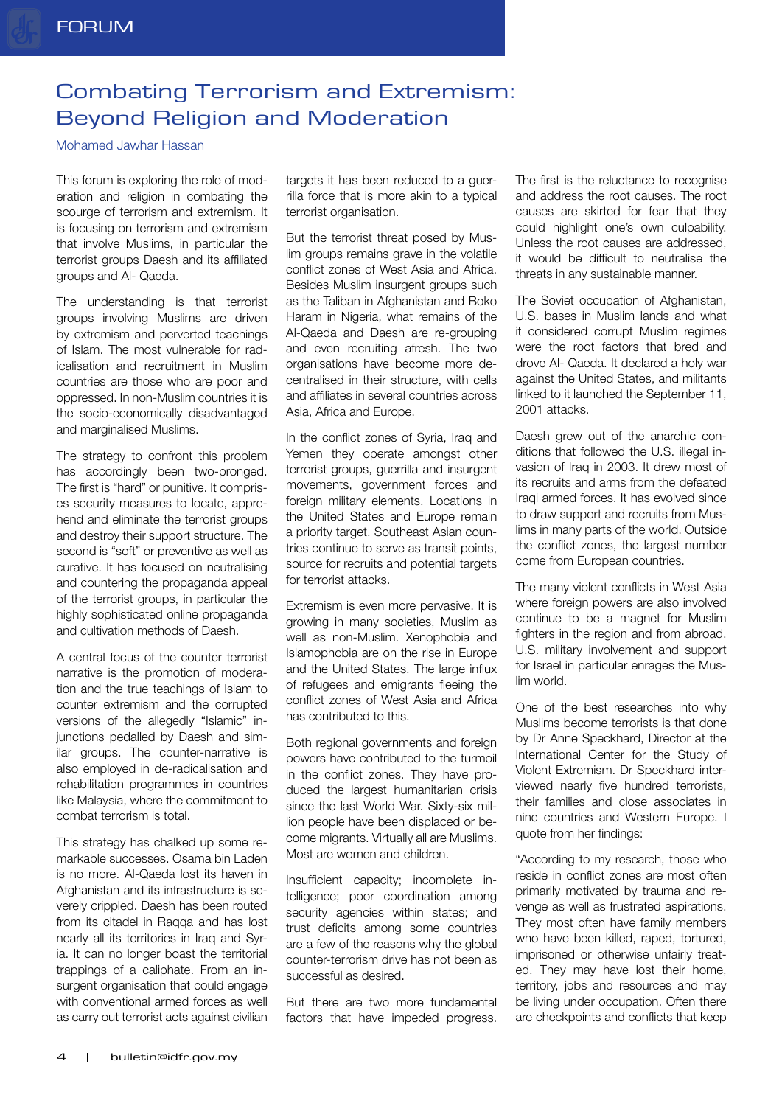# Combating Terrorism and Extremism: Beyond Religion and Moderation

Mohamed Jawhar Hassan

This forum is exploring the role of moderation and religion in combating the scourge of terrorism and extremism. It is focusing on terrorism and extremism that involve Muslims, in particular the terrorist groups Daesh and its affiliated groups and Al- Qaeda.

The understanding is that terrorist groups involving Muslims are driven by extremism and perverted teachings of Islam. The most vulnerable for radicalisation and recruitment in Muslim countries are those who are poor and oppressed. In non-Muslim countries it is the socio-economically disadvantaged and marginalised Muslims.

The strategy to confront this problem has accordingly been two-pronged. The first is "hard" or punitive. It comprises security measures to locate, apprehend and eliminate the terrorist groups and destroy their support structure. The second is "soft" or preventive as well as curative. It has focused on neutralising and countering the propaganda appeal of the terrorist groups, in particular the highly sophisticated online propaganda and cultivation methods of Daesh.

A central focus of the counter terrorist narrative is the promotion of moderation and the true teachings of Islam to counter extremism and the corrupted versions of the allegedly "Islamic" injunctions pedalled by Daesh and similar groups. The counter-narrative is also employed in de-radicalisation and rehabilitation programmes in countries like Malaysia, where the commitment to combat terrorism is total.

This strategy has chalked up some remarkable successes. Osama bin Laden is no more. Al-Qaeda lost its haven in Afghanistan and its infrastructure is severely crippled. Daesh has been routed from its citadel in Raqqa and has lost nearly all its territories in Iraq and Syria. It can no longer boast the territorial trappings of a caliphate. From an insurgent organisation that could engage with conventional armed forces as well as carry out terrorist acts against civilian

targets it has been reduced to a guerrilla force that is more akin to a typical terrorist organisation.

But the terrorist threat posed by Muslim groups remains grave in the volatile conflict zones of West Asia and Africa. Besides Muslim insurgent groups such as the Taliban in Afghanistan and Boko Haram in Nigeria, what remains of the Al-Qaeda and Daesh are re-grouping and even recruiting afresh. The two organisations have become more decentralised in their structure, with cells and affiliates in several countries across Asia, Africa and Europe.

In the conflict zones of Syria, Iraq and Yemen they operate amongst other terrorist groups, guerrilla and insurgent movements, government forces and foreign military elements. Locations in the United States and Europe remain a priority target. Southeast Asian countries continue to serve as transit points, source for recruits and potential targets for terrorist attacks.

Extremism is even more pervasive. It is growing in many societies, Muslim as well as non-Muslim. Xenophobia and Islamophobia are on the rise in Europe and the United States. The large influx of refugees and emigrants fleeing the conflict zones of West Asia and Africa has contributed to this.

Both regional governments and foreign powers have contributed to the turmoil in the conflict zones. They have produced the largest humanitarian crisis since the last World War. Sixty-six million people have been displaced or become migrants. Virtually all are Muslims. Most are women and children.

Insufficient capacity; incomplete intelligence; poor coordination among security agencies within states; and trust deficits among some countries are a few of the reasons why the global counter-terrorism drive has not been as successful as desired.

But there are two more fundamental factors that have impeded progress. The first is the reluctance to recognise and address the root causes. The root causes are skirted for fear that they could highlight one's own culpability. Unless the root causes are addressed, it would be difficult to neutralise the threats in any sustainable manner.

The Soviet occupation of Afghanistan, U.S. bases in Muslim lands and what it considered corrupt Muslim regimes were the root factors that bred and drove Al- Qaeda. It declared a holy war against the United States, and militants linked to it launched the September 11, 2001 attacks.

Daesh grew out of the anarchic conditions that followed the U.S. illegal invasion of Iraq in 2003. It drew most of its recruits and arms from the defeated Iraqi armed forces. It has evolved since to draw support and recruits from Muslims in many parts of the world. Outside the conflict zones, the largest number come from European countries.

The many violent conflicts in West Asia where foreign powers are also involved continue to be a magnet for Muslim fighters in the region and from abroad. U.S. military involvement and support for Israel in particular enrages the Muslim world.

One of the best researches into why Muslims become terrorists is that done by Dr Anne Speckhard, Director at the International Center for the Study of Violent Extremism. Dr Speckhard interviewed nearly five hundred terrorists, their families and close associates in nine countries and Western Europe. I quote from her findings:

"According to my research, those who reside in conflict zones are most often primarily motivated by trauma and revenge as well as frustrated aspirations. They most often have family members who have been killed, raped, tortured, imprisoned or otherwise unfairly treated. They may have lost their home, territory, jobs and resources and may be living under occupation. Often there are checkpoints and conflicts that keep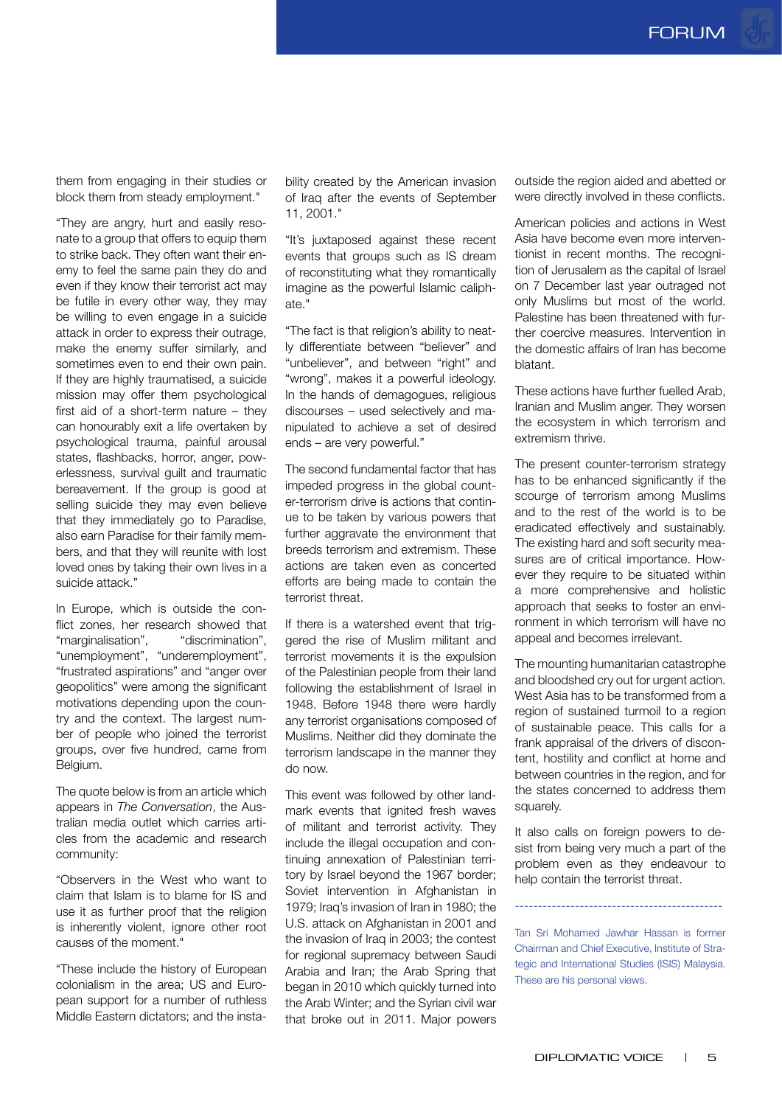them from engaging in their studies or block them from steady employment."

"They are angry, hurt and easily resonate to a group that offers to equip them to strike back. They often want their enemy to feel the same pain they do and even if they know their terrorist act may be futile in every other way, they may be willing to even engage in a suicide attack in order to express their outrage, make the enemy suffer similarly, and sometimes even to end their own pain. If they are highly traumatised, a suicide mission may offer them psychological first aid of a short-term nature – they can honourably exit a life overtaken by psychological trauma, painful arousal states, flashbacks, horror, anger, powerlessness, survival guilt and traumatic bereavement. If the group is good at selling suicide they may even believe that they immediately go to Paradise, also earn Paradise for their family members, and that they will reunite with lost loved ones by taking their own lives in a suicide attack."

In Europe, which is outside the conflict zones, her research showed that "marginalisation", "discrimination", "unemployment", "underemployment", "frustrated aspirations" and "anger over geopolitics" were among the significant motivations depending upon the country and the context. The largest number of people who joined the terrorist groups, over five hundred, came from Belgium.

The quote below is from an article which appears in *The Conversation*, the Australian media outlet which carries articles from the academic and research community:

"Observers in the West who want to claim that Islam is to blame for IS and use it as further proof that the religion is inherently violent, ignore other root causes of the moment."

"These include the history of European colonialism in the area; US and European support for a number of ruthless Middle Eastern dictators; and the insta-

bility created by the American invasion of Iraq after the events of September 11, 2001."

"It's juxtaposed against these recent events that groups such as IS dream of reconstituting what they romantically imagine as the powerful Islamic caliphate."

"The fact is that religion's ability to neatly differentiate between "believer" and "unbeliever", and between "right" and "wrong", makes it a powerful ideology. In the hands of demagogues, religious discourses – used selectively and manipulated to achieve a set of desired ends – are very powerful."

The second fundamental factor that has impeded progress in the global counter-terrorism drive is actions that continue to be taken by various powers that further aggravate the environment that breeds terrorism and extremism. These actions are taken even as concerted efforts are being made to contain the terrorist threat.

If there is a watershed event that triggered the rise of Muslim militant and terrorist movements it is the expulsion of the Palestinian people from their land following the establishment of Israel in 1948. Before 1948 there were hardly any terrorist organisations composed of Muslims. Neither did they dominate the terrorism landscape in the manner they do now.

This event was followed by other landmark events that ignited fresh waves of militant and terrorist activity. They include the illegal occupation and continuing annexation of Palestinian territory by Israel beyond the 1967 border; Soviet intervention in Afghanistan in 1979; Iraq's invasion of Iran in 1980; the U.S. attack on Afghanistan in 2001 and the invasion of Iraq in 2003; the contest for regional supremacy between Saudi Arabia and Iran; the Arab Spring that began in 2010 which quickly turned into the Arab Winter; and the Syrian civil war that broke out in 2011. Major powers

outside the region aided and abetted or were directly involved in these conflicts.

American policies and actions in West Asia have become even more interventionist in recent months. The recognition of Jerusalem as the capital of Israel on 7 December last year outraged not only Muslims but most of the world. Palestine has been threatened with further coercive measures. Intervention in the domestic affairs of Iran has become blatant.

These actions have further fuelled Arab, Iranian and Muslim anger. They worsen the ecosystem in which terrorism and extremism thrive.

The present counter-terrorism strategy has to be enhanced significantly if the scourge of terrorism among Muslims and to the rest of the world is to be eradicated effectively and sustainably. The existing hard and soft security measures are of critical importance. However they require to be situated within a more comprehensive and holistic approach that seeks to foster an environment in which terrorism will have no appeal and becomes irrelevant.

The mounting humanitarian catastrophe and bloodshed cry out for urgent action. West Asia has to be transformed from a region of sustained turmoil to a region of sustainable peace. This calls for a frank appraisal of the drivers of discontent, hostility and conflict at home and between countries in the region, and for the states concerned to address them squarely.

It also calls on foreign powers to desist from being very much a part of the problem even as they endeavour to help contain the terrorist threat.

Tan Sri Mohamed Jawhar Hassan is former Chairman and Chief Executive, Institute of Strategic and International Studies (ISIS) Malaysia. These are his personal views.

---------------------------------------------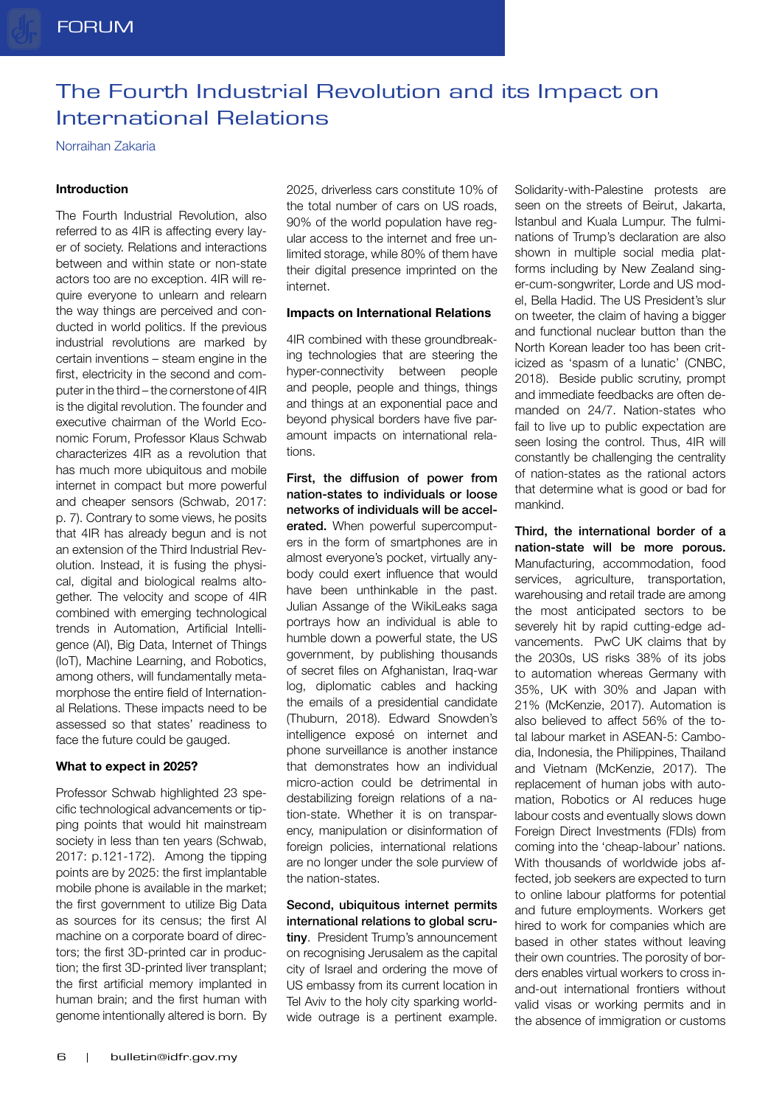# The Fourth Industrial Revolution and its Impact on International Relations

Norraihan Zakaria

#### Introduction

The Fourth Industrial Revolution, also referred to as 4IR is affecting every layer of society. Relations and interactions between and within state or non-state actors too are no exception. 4IR will require everyone to unlearn and relearn the way things are perceived and conducted in world politics. If the previous industrial revolutions are marked by certain inventions – steam engine in the first, electricity in the second and computer in the third – the cornerstone of 4IR is the digital revolution. The founder and executive chairman of the World Economic Forum, Professor Klaus Schwab characterizes 4IR as a revolution that has much more ubiquitous and mobile internet in compact but more powerful and cheaper sensors (Schwab, 2017: p. 7). Contrary to some views, he posits that 4IR has already begun and is not an extension of the Third Industrial Revolution. Instead, it is fusing the physical, digital and biological realms altogether. The velocity and scope of 4IR combined with emerging technological trends in Automation, Artificial Intelligence (AI), Big Data, Internet of Things (IoT), Machine Learning, and Robotics, among others, will fundamentally metamorphose the entire field of International Relations. These impacts need to be assessed so that states' readiness to face the future could be gauged.

#### What to expect in 2025?

Professor Schwab highlighted 23 specific technological advancements or tipping points that would hit mainstream society in less than ten years (Schwab, 2017: p.121-172). Among the tipping points are by 2025: the first implantable mobile phone is available in the market; the first government to utilize Big Data as sources for its census; the first AI machine on a corporate board of directors; the first 3D-printed car in production; the first 3D-printed liver transplant; the first artificial memory implanted in human brain; and the first human with genome intentionally altered is born. By

2025, driverless cars constitute 10% of the total number of cars on US roads, 90% of the world population have regular access to the internet and free unlimited storage, while 80% of them have their digital presence imprinted on the internet.

#### Impacts on International Relations

4IR combined with these groundbreaking technologies that are steering the hyper-connectivity between people and people, people and things, things and things at an exponential pace and beyond physical borders have five paramount impacts on international relations.

First, the diffusion of power from nation-states to individuals or loose networks of individuals will be accelerated. When powerful supercomputers in the form of smartphones are in almost everyone's pocket, virtually anybody could exert influence that would have been unthinkable in the past. Julian Assange of the WikiLeaks saga portrays how an individual is able to humble down a powerful state, the US government, by publishing thousands of secret files on Afghanistan, Iraq-war log, diplomatic cables and hacking the emails of a presidential candidate (Thuburn, 2018). Edward Snowden's intelligence exposé on internet and phone surveillance is another instance that demonstrates how an individual micro-action could be detrimental in destabilizing foreign relations of a nation-state. Whether it is on transparency, manipulation or disinformation of foreign policies, international relations are no longer under the sole purview of the nation-states.

#### Second, ubiquitous internet permits international relations to global scrutiny. President Trump's announcement on recognising Jerusalem as the capital city of Israel and ordering the move of US embassy from its current location in Tel Aviv to the holy city sparking worldwide outrage is a pertinent example.

Solidarity-with-Palestine protests are seen on the streets of Beirut, Jakarta, Istanbul and Kuala Lumpur. The fulminations of Trump's declaration are also shown in multiple social media platforms including by New Zealand singer-cum-songwriter, Lorde and US model, Bella Hadid. The US President's slur on tweeter, the claim of having a bigger and functional nuclear button than the North Korean leader too has been criticized as 'spasm of a lunatic' (CNBC, 2018). Beside public scrutiny, prompt and immediate feedbacks are often demanded on 24/7. Nation-states who fail to live up to public expectation are seen losing the control. Thus, 4IR will constantly be challenging the centrality of nation-states as the rational actors that determine what is good or bad for mankind.

Third, the international border of a nation-state will be more porous. Manufacturing, accommodation, food services, agriculture, transportation, warehousing and retail trade are among the most anticipated sectors to be severely hit by rapid cutting-edge advancements. PwC UK claims that by the 2030s, US risks 38% of its jobs to automation whereas Germany with 35%, UK with 30% and Japan with 21% (McKenzie, 2017). Automation is also believed to affect 56% of the total labour market in ASEAN-5: Cambodia, Indonesia, the Philippines, Thailand and Vietnam (McKenzie, 2017). The replacement of human jobs with automation, Robotics or AI reduces huge labour costs and eventually slows down Foreign Direct Investments (FDIs) from coming into the 'cheap-labour' nations. With thousands of worldwide jobs affected, job seekers are expected to turn to online labour platforms for potential and future employments. Workers get hired to work for companies which are based in other states without leaving their own countries. The porosity of borders enables virtual workers to cross inand-out international frontiers without valid visas or working permits and in the absence of immigration or customs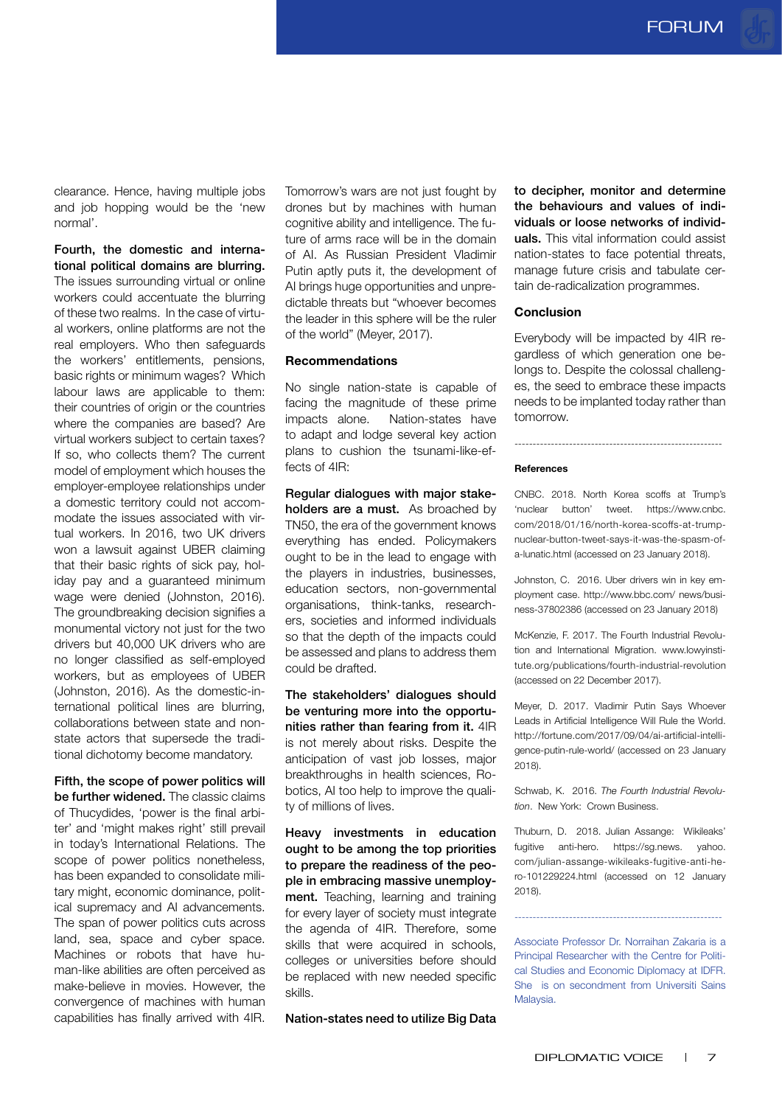clearance. Hence, having multiple jobs and job hopping would be the 'new normal'.

Fourth, the domestic and international political domains are blurring. The issues surrounding virtual or online workers could accentuate the blurring of these two realms. In the case of virtual workers, online platforms are not the real employers. Who then safeguards the workers' entitlements, pensions, basic rights or minimum wages? Which labour laws are applicable to them: their countries of origin or the countries where the companies are based? Are virtual workers subject to certain taxes? If so, who collects them? The current model of employment which houses the employer-employee relationships under a domestic territory could not accommodate the issues associated with virtual workers. In 2016, two UK drivers won a lawsuit against UBER claiming that their basic rights of sick pay, holiday pay and a guaranteed minimum wage were denied (Johnston, 2016). The groundbreaking decision signifies a monumental victory not just for the two drivers but 40,000 UK drivers who are no longer classified as self-employed workers, but as employees of UBER (Johnston, 2016). As the domestic-international political lines are blurring, collaborations between state and nonstate actors that supersede the traditional dichotomy become mandatory.

Fifth, the scope of power politics will be further widened. The classic claims of Thucydides, 'power is the final arbiter' and 'might makes right' still prevail in today's International Relations. The scope of power politics nonetheless, has been expanded to consolidate military might, economic dominance, political supremacy and AI advancements. The span of power politics cuts across land, sea, space and cyber space. Machines or robots that have human-like abilities are often perceived as make-believe in movies. However, the convergence of machines with human capabilities has finally arrived with 4IR.

Tomorrow's wars are not just fought by drones but by machines with human cognitive ability and intelligence. The future of arms race will be in the domain of AI. As Russian President Vladimir Putin aptly puts it, the development of AI brings huge opportunities and unpredictable threats but "whoever becomes the leader in this sphere will be the ruler of the world" (Meyer, 2017).

#### Recommendations

No single nation-state is capable of facing the magnitude of these prime impacts alone. Nation-states have to adapt and lodge several key action plans to cushion the tsunami-like-effects of 4IR:

Regular dialogues with major stakeholders are a must. As broached by TN50, the era of the government knows everything has ended. Policymakers ought to be in the lead to engage with the players in industries, businesses, education sectors, non-governmental organisations, think-tanks, researchers, societies and informed individuals so that the depth of the impacts could be assessed and plans to address them could be drafted.

The stakeholders' dialogues should be venturing more into the opportunities rather than fearing from it. 4IR is not merely about risks. Despite the anticipation of vast job losses, major breakthroughs in health sciences, Robotics, AI too help to improve the quality of millions of lives.

Heavy investments in education ought to be among the top priorities to prepare the readiness of the people in embracing massive unemployment. Teaching, learning and training for every layer of society must integrate the agenda of 4IR. Therefore, some skills that were acquired in schools, colleges or universities before should be replaced with new needed specific skills.

Nation-states need to utilize Big Data

to decipher, monitor and determine the behaviours and values of individuals or loose networks of individuals. This vital information could assist nation-states to face potential threats, manage future crisis and tabulate certain de-radicalization programmes.

#### **Conclusion**

Everybody will be impacted by 4IR regardless of which generation one belongs to. Despite the colossal challenges, the seed to embrace these impacts needs to be implanted today rather than tomorrow.

---------------------------------------------------------

#### References

CNBC. 2018. North Korea scoffs at Trump's 'nuclear button' tweet. https://www.cnbc. com/2018/01/16/north-korea-scoffs-at-trumpnuclear-button-tweet-says-it-was-the-spasm-ofa-lunatic.html (accessed on 23 January 2018).

Johnston, C. 2016. Uber drivers win in key employment case. http://www.bbc.com/ news/business-37802386 (accessed on 23 January 2018)

McKenzie, F. 2017. The Fourth Industrial Revolution and International Migration. www.lowyinstitute.org/publications/fourth-industrial-revolution (accessed on 22 December 2017).

Meyer, D. 2017. Vladimir Putin Says Whoever Leads in Artificial Intelligence Will Rule the World. http://fortune.com/2017/09/04/ai-artificial-intelligence-putin-rule-world/ (accessed on 23 January 2018).

Schwab, K. 2016. *The Fourth Industrial Revolution*. New York: Crown Business.

Thuburn, D. 2018. Julian Assange: Wikileaks' fugitive anti-hero. https://sg.news. yahoo. com/julian-assange-wikileaks-fugitive-anti-hero-101229224.html (accessed on 12 January 2018).

---------------------------------------------------------

Associate Professor Dr. Norraihan Zakaria is a Principal Researcher with the Centre for Political Studies and Economic Diplomacy at IDFR. She is on secondment from Universiti Sains Malaysia.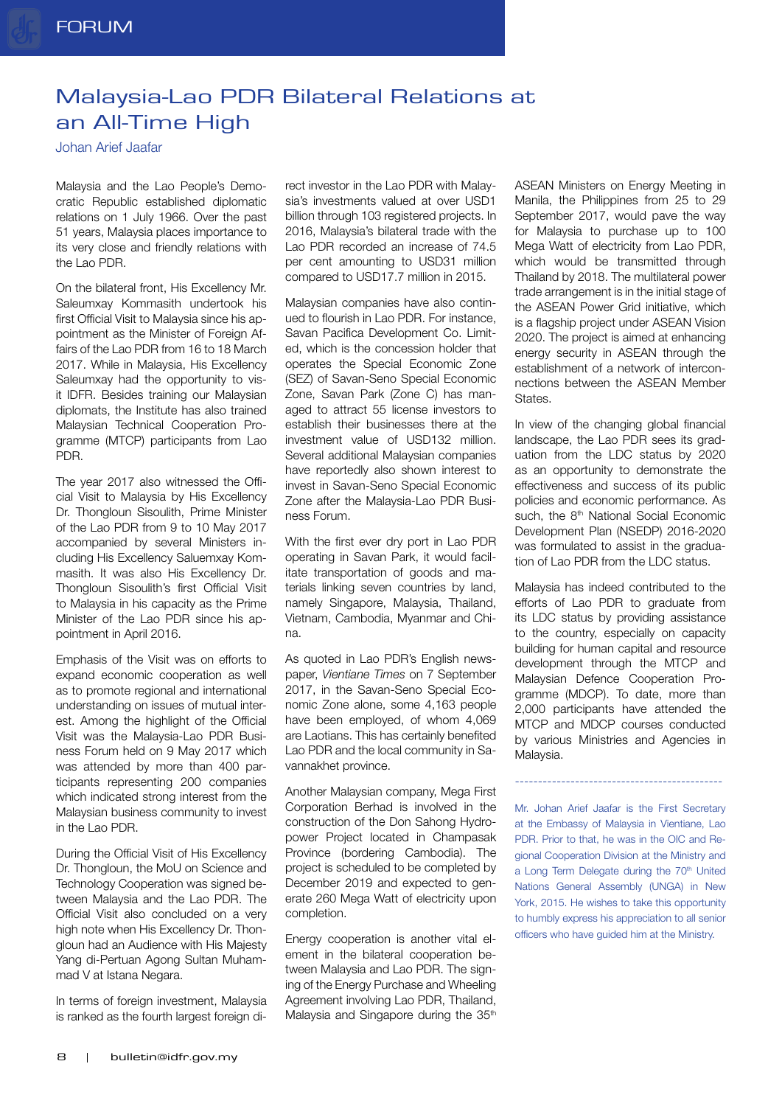# Malaysia-Lao PDR Bilateral Relations at an All-Time High

Johan Arief Jaafar

Malaysia and the Lao People's Democratic Republic established diplomatic relations on 1 July 1966. Over the past 51 years, Malaysia places importance to its very close and friendly relations with the Lao PDR.

On the bilateral front, His Excellency Mr. Saleumxay Kommasith undertook his first Official Visit to Malaysia since his appointment as the Minister of Foreign Affairs of the Lao PDR from 16 to 18 March 2017. While in Malaysia, His Excellency Saleumxay had the opportunity to visit IDFR. Besides training our Malaysian diplomats, the Institute has also trained Malaysian Technical Cooperation Programme (MTCP) participants from Lao PDR.

The year 2017 also witnessed the Official Visit to Malaysia by His Excellency Dr. Thongloun Sisoulith, Prime Minister of the Lao PDR from 9 to 10 May 2017 accompanied by several Ministers including His Excellency Saluemxay Kommasith. It was also His Excellency Dr. Thongloun Sisoulith's first Official Visit to Malaysia in his capacity as the Prime Minister of the Lao PDR since his appointment in April 2016.

Emphasis of the Visit was on efforts to expand economic cooperation as well as to promote regional and international understanding on issues of mutual interest. Among the highlight of the Official Visit was the Malaysia-Lao PDR Business Forum held on 9 May 2017 which was attended by more than 400 participants representing 200 companies which indicated strong interest from the Malaysian business community to invest in the Lao PDR.

During the Official Visit of His Excellency Dr. Thongloun, the MoU on Science and Technology Cooperation was signed between Malaysia and the Lao PDR. The Official Visit also concluded on a very high note when His Excellency Dr. Thongloun had an Audience with His Majesty Yang di-Pertuan Agong Sultan Muhammad V at Istana Negara.

In terms of foreign investment, Malaysia is ranked as the fourth largest foreign di-

rect investor in the Lao PDR with Malaysia's investments valued at over USD1 billion through 103 registered projects. In 2016, Malaysia's bilateral trade with the Lao PDR recorded an increase of 74.5 per cent amounting to USD31 million compared to USD17.7 million in 2015.

Malaysian companies have also continued to flourish in Lao PDR. For instance, Savan Pacifica Development Co. Limited, which is the concession holder that operates the Special Economic Zone (SEZ) of Savan-Seno Special Economic Zone, Savan Park (Zone C) has managed to attract 55 license investors to establish their businesses there at the investment value of USD132 million. Several additional Malaysian companies have reportedly also shown interest to invest in Savan-Seno Special Economic Zone after the Malaysia-Lao PDR Business Forum.

With the first ever dry port in Lao PDR operating in Savan Park, it would facilitate transportation of goods and materials linking seven countries by land, namely Singapore, Malaysia, Thailand, Vietnam, Cambodia, Myanmar and China.

As quoted in Lao PDR's English newspaper, *Vientiane Times* on 7 September 2017, in the Savan-Seno Special Economic Zone alone, some 4,163 people have been employed, of whom 4,069 are Laotians. This has certainly benefited Lao PDR and the local community in Savannakhet province.

Another Malaysian company, Mega First Corporation Berhad is involved in the construction of the Don Sahong Hydropower Project located in Champasak Province (bordering Cambodia). The project is scheduled to be completed by December 2019 and expected to generate 260 Mega Watt of electricity upon completion.

Energy cooperation is another vital element in the bilateral cooperation between Malaysia and Lao PDR. The signing of the Energy Purchase and Wheeling Agreement involving Lao PDR, Thailand, Malaysia and Singapore during the 35<sup>th</sup> ASEAN Ministers on Energy Meeting in Manila, the Philippines from 25 to 29 September 2017, would pave the way for Malaysia to purchase up to 100 Mega Watt of electricity from Lao PDR, which would be transmitted through Thailand by 2018. The multilateral power trade arrangement is in the initial stage of the ASEAN Power Grid initiative, which is a flagship project under ASEAN Vision 2020. The project is aimed at enhancing energy security in ASEAN through the establishment of a network of interconnections between the ASEAN Member **States** 

In view of the changing global financial landscape, the Lao PDR sees its graduation from the LDC status by 2020 as an opportunity to demonstrate the effectiveness and success of its public policies and economic performance. As such, the 8<sup>th</sup> National Social Economic Development Plan (NSEDP) 2016-2020 was formulated to assist in the graduation of Lao PDR from the LDC status.

Malaysia has indeed contributed to the efforts of Lao PDR to graduate from its LDC status by providing assistance to the country, especially on capacity building for human capital and resource development through the MTCP and Malaysian Defence Cooperation Programme (MDCP). To date, more than 2,000 participants have attended the MTCP and MDCP courses conducted by various Ministries and Agencies in Malaysia.

Mr. Johan Arief Jaafar is the First Secretary at the Embassy of Malaysia in Vientiane, Lao PDR. Prior to that, he was in the OIC and Regional Cooperation Division at the Ministry and a Long Term Delegate during the 70<sup>th</sup> United Nations General Assembly (UNGA) in New York, 2015. He wishes to take this opportunity to humbly express his appreciation to all senior officers who have guided him at the Ministry.

---------------------------------------------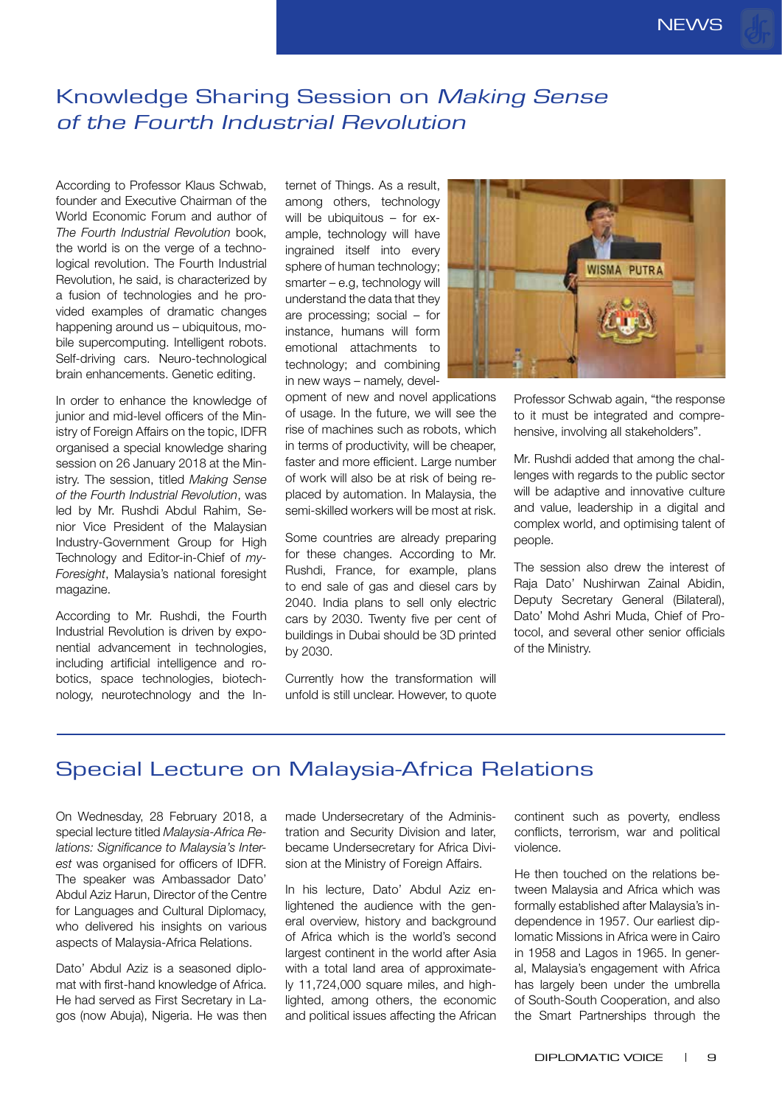## Knowledge Sharing Session on Making Sense of the Fourth Industrial Revolution

According to Professor Klaus Schwab, founder and Executive Chairman of the World Economic Forum and author of *The Fourth Industrial Revolution* book, the world is on the verge of a technological revolution. The Fourth Industrial Revolution, he said, is characterized by a fusion of technologies and he provided examples of dramatic changes happening around us – ubiquitous, mobile supercomputing. Intelligent robots. Self-driving cars. Neuro-technological brain enhancements. Genetic editing.

In order to enhance the knowledge of junior and mid-level officers of the Ministry of Foreign Affairs on the topic, IDFR organised a special knowledge sharing session on 26 January 2018 at the Ministry. The session, titled *Making Sense of the Fourth Industrial Revolution*, was led by Mr. Rushdi Abdul Rahim, Senior Vice President of the Malaysian Industry-Government Group for High Technology and Editor-in-Chief of *my-Foresight*, Malaysia's national foresight magazine.

According to Mr. Rushdi, the Fourth Industrial Revolution is driven by exponential advancement in technologies, including artificial intelligence and robotics, space technologies, biotechnology, neurotechnology and the In-

ternet of Things. As a result, among others, technology will be ubiquitous – for example, technology will have ingrained itself into every sphere of human technology; smarter – e.g, technology will understand the data that they are processing; social – for instance, humans will form emotional attachments to technology; and combining in new ways – namely, devel-

opment of new and novel applications of usage. In the future, we will see the rise of machines such as robots, which in terms of productivity, will be cheaper, faster and more efficient. Large number of work will also be at risk of being replaced by automation. In Malaysia, the semi-skilled workers will be most at risk.

Some countries are already preparing for these changes. According to Mr. Rushdi, France, for example, plans to end sale of gas and diesel cars by 2040. India plans to sell only electric cars by 2030. Twenty five per cent of buildings in Dubai should be 3D printed by 2030.

Currently how the transformation will unfold is still unclear. However, to quote



Professor Schwab again, "the response to it must be integrated and comprehensive, involving all stakeholders".

Mr. Rushdi added that among the challenges with regards to the public sector will be adaptive and innovative culture and value, leadership in a digital and complex world, and optimising talent of people.

The session also drew the interest of Raja Dato' Nushirwan Zainal Abidin, Deputy Secretary General (Bilateral), Dato' Mohd Ashri Muda, Chief of Protocol, and several other senior officials of the Ministry.

## Special Lecture on Malaysia-Africa Relations

On Wednesday, 28 February 2018, a special lecture titled *Malaysia-Africa Relations: Significance to Malaysia's Interest* was organised for officers of IDFR. The speaker was Ambassador Dato' Abdul Aziz Harun, Director of the Centre for Languages and Cultural Diplomacy, who delivered his insights on various aspects of Malaysia-Africa Relations.

Dato' Abdul Aziz is a seasoned diplomat with first-hand knowledge of Africa. He had served as First Secretary in Lagos (now Abuja), Nigeria. He was then

made Undersecretary of the Administration and Security Division and later, became Undersecretary for Africa Division at the Ministry of Foreign Affairs.

In his lecture, Dato' Abdul Aziz enlightened the audience with the general overview, history and background of Africa which is the world's second largest continent in the world after Asia with a total land area of approximately 11,724,000 square miles, and highlighted, among others, the economic and political issues affecting the African

continent such as poverty, endless conflicts, terrorism, war and political violence.

He then touched on the relations between Malaysia and Africa which was formally established after Malaysia's independence in 1957. Our earliest diplomatic Missions in Africa were in Cairo in 1958 and Lagos in 1965. In general, Malaysia's engagement with Africa has largely been under the umbrella of South-South Cooperation, and also the Smart Partnerships through the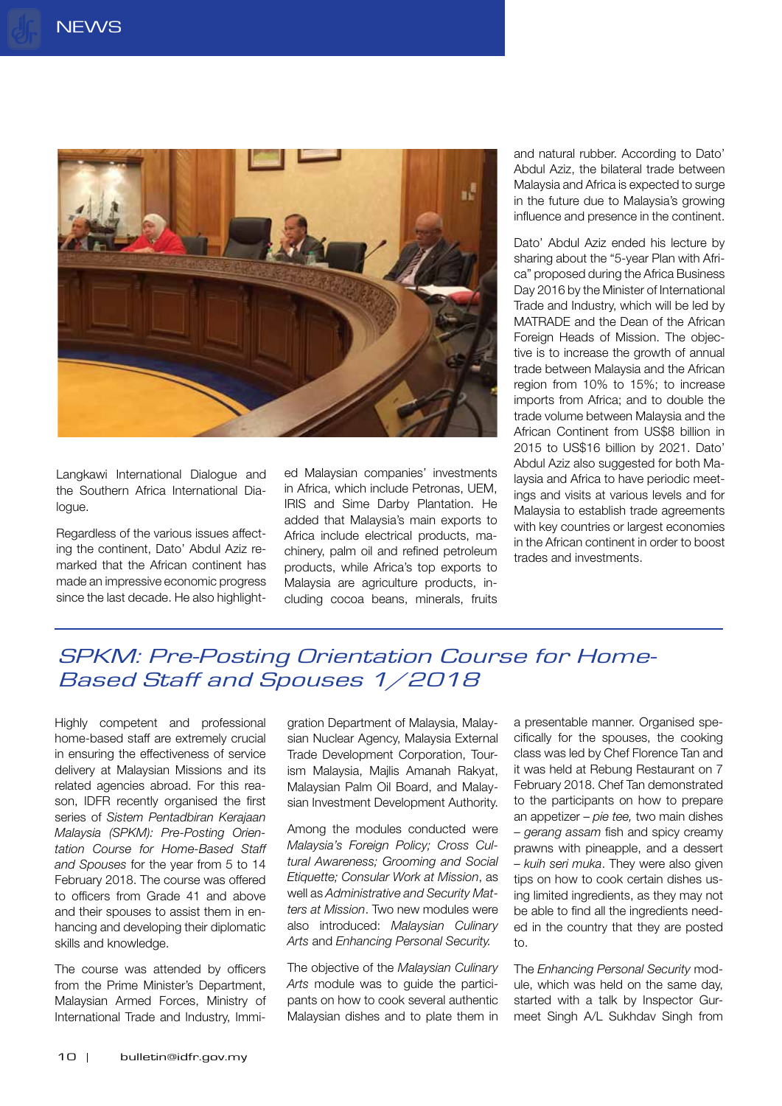

Langkawi International Dialogue and the Southern Africa International Dialogue.

Regardless of the various issues affecting the continent, Dato' Abdul Aziz remarked that the African continent has made an impressive economic progress since the last decade. He also highlighted Malaysian companies' investments in Africa, which include Petronas, UEM, IRIS and Sime Darby Plantation. He added that Malaysia's main exports to Africa include electrical products, machinery, palm oil and refined petroleum products, while Africa's top exports to Malaysia are agriculture products, including cocoa beans, minerals, fruits and natural rubber. According to Dato' Abdul Aziz, the bilateral trade between Malaysia and Africa is expected to surge in the future due to Malaysia's growing influence and presence in the continent.

Dato' Abdul Aziz ended his lecture by sharing about the "5-year Plan with Africa" proposed during the Africa Business Day 2016 by the Minister of International Trade and Industry, which will be led by MATRADE and the Dean of the African Foreign Heads of Mission. The objective is to increase the growth of annual trade between Malaysia and the African region from 10% to 15%; to increase imports from Africa; and to double the trade volume between Malaysia and the African Continent from US\$8 billion in 2015 to US\$16 billion by 2021. Dato' Abdul Aziz also suggested for both Malaysia and Africa to have periodic meetings and visits at various levels and for Malaysia to establish trade agreements with key countries or largest economies in the African continent in order to boost trades and investments.

## SPKM: Pre-Posting Orientation Course for Home-Based Staff and Spouses 1/2018

Highly competent and professional home-based staff are extremely crucial in ensuring the effectiveness of service delivery at Malaysian Missions and its related agencies abroad. For this reason, IDFR recently organised the first series of *Sistem Pentadbiran Kerajaan Malaysia (SPKM): Pre-Posting Orientation Course for Home-Based Staff and Spouses* for the year from 5 to 14 February 2018. The course was offered to officers from Grade 41 and above and their spouses to assist them in enhancing and developing their diplomatic skills and knowledge.

The course was attended by officers from the Prime Minister's Department, Malaysian Armed Forces, Ministry of International Trade and Industry, Immigration Department of Malaysia, Malaysian Nuclear Agency, Malaysia External Trade Development Corporation, Tourism Malaysia, Majlis Amanah Rakyat, Malaysian Palm Oil Board, and Malaysian Investment Development Authority.

Among the modules conducted were *Malaysia's Foreign Policy; Cross Cultural Awareness; Grooming and Social Etiquette; Consular Work at Mission*, as well as *Administrative and Security Matters at Mission*. Two new modules were also introduced: *Malaysian Culinary Arts* and *Enhancing Personal Security.* 

The objective of the *Malaysian Culinary Arts* module was to guide the participants on how to cook several authentic Malaysian dishes and to plate them in a presentable manner. Organised specifically for the spouses, the cooking class was led by Chef Florence Tan and it was held at Rebung Restaurant on 7 February 2018. Chef Tan demonstrated to the participants on how to prepare an appetizer – *pie tee,* two main dishes – *gerang assam* fish and spicy creamy prawns with pineapple, and a dessert – *kuih seri muka*. They were also given tips on how to cook certain dishes using limited ingredients, as they may not be able to find all the ingredients needed in the country that they are posted to.

The *Enhancing Personal Security* module, which was held on the same day, started with a talk by Inspector Gurmeet Singh A/L Sukhdav Singh from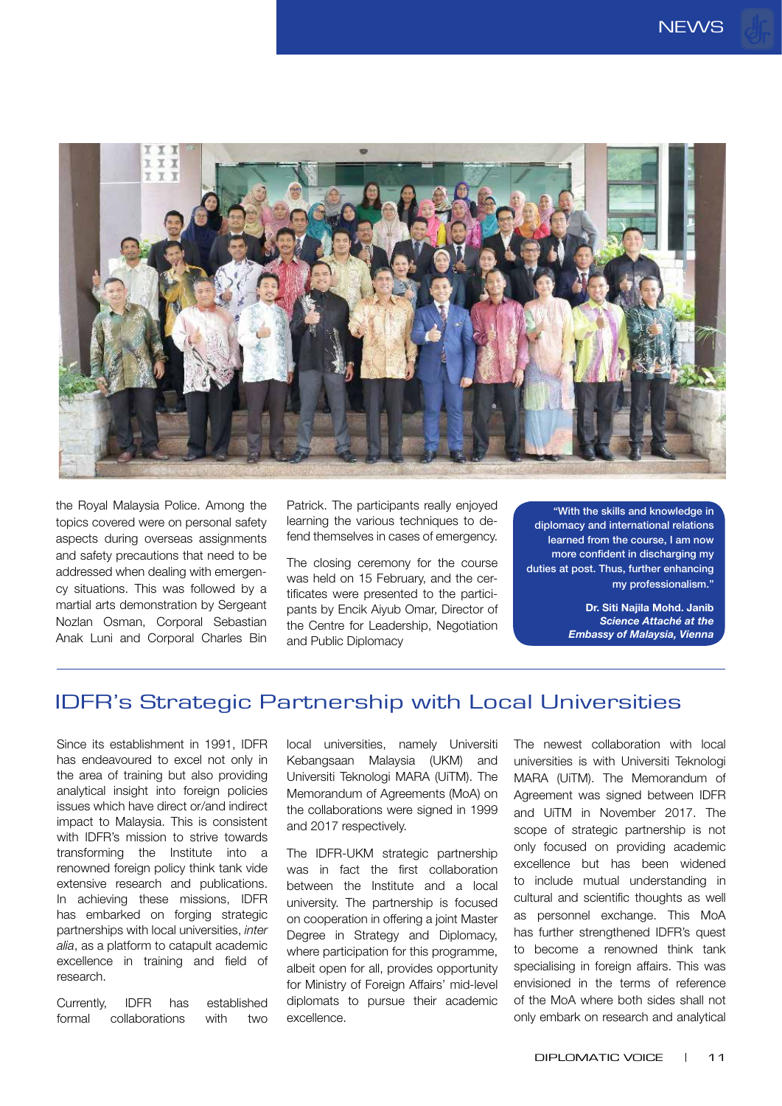

the Royal Malaysia Police. Among the topics covered were on personal safety aspects during overseas assignments and safety precautions that need to be addressed when dealing with emergency situations. This was followed by a martial arts demonstration by Sergeant Nozlan Osman, Corporal Sebastian Anak Luni and Corporal Charles Bin Patrick. The participants really enjoyed learning the various techniques to defend themselves in cases of emergency.

The closing ceremony for the course was held on 15 February, and the certificates were presented to the participants by Encik Aiyub Omar, Director of the Centre for Leadership, Negotiation and Public Diplomacy

"With the skills and knowledge in diplomacy and international relations learned from the course, I am now more confident in discharging my duties at post. Thus, further enhancing my professionalism."

> Dr. Siti Najila Mohd. Janib *Science Attaché at the Embassy of Malaysia, Vienna*

## IDFR's Strategic Partnership with Local Universities

Since its establishment in 1991, IDFR has endeavoured to excel not only in the area of training but also providing analytical insight into foreign policies issues which have direct or/and indirect impact to Malaysia. This is consistent with IDFR's mission to strive towards transforming the Institute into a renowned foreign policy think tank vide extensive research and publications. In achieving these missions, IDFR has embarked on forging strategic partnerships with local universities, *inter alia*, as a platform to catapult academic excellence in training and field of research.

Currently, IDFR has established formal collaborations with two local universities, namely Universiti Kebangsaan Malaysia (UKM) and Universiti Teknologi MARA (UiTM). The Memorandum of Agreements (MoA) on the collaborations were signed in 1999 and 2017 respectively.

The IDFR-UKM strategic partnership was in fact the first collaboration between the Institute and a local university. The partnership is focused on cooperation in offering a joint Master Degree in Strategy and Diplomacy, where participation for this programme, albeit open for all, provides opportunity for Ministry of Foreign Affairs' mid-level diplomats to pursue their academic excellence.

The newest collaboration with local universities is with Universiti Teknologi MARA (UiTM). The Memorandum of Agreement was signed between IDFR and UiTM in November 2017. The scope of strategic partnership is not only focused on providing academic excellence but has been widened to include mutual understanding in cultural and scientific thoughts as well as personnel exchange. This MoA has further strengthened IDFR's quest to become a renowned think tank specialising in foreign affairs. This was envisioned in the terms of reference of the MoA where both sides shall not only embark on research and analytical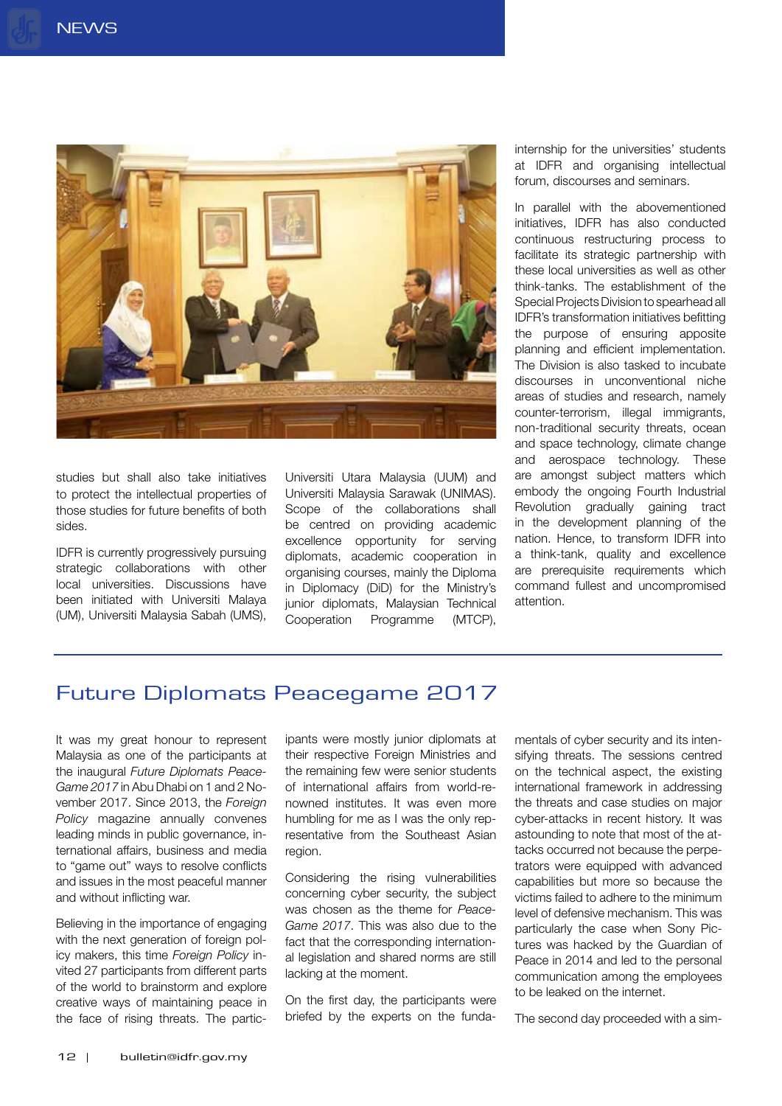

studies but shall also take initiatives to protect the intellectual properties of those studies for future benefits of both sides.

IDFR is currently progressively pursuing strategic collaborations with other local universities. Discussions have been initiated with Universiti Malaya (UM), Universiti Malaysia Sabah (UMS), Universiti Utara Malaysia (UUM) and Universiti Malaysia Sarawak (UNIMAS). Scope of the collaborations shall be centred on providing academic excellence opportunity for serving diplomats, academic cooperation in organising courses, mainly the Diploma in Diplomacy (DiD) for the Ministry's junior diplomats, Malaysian Technical Cooperation Programme (MTCP), internship for the universities' students at IDFR and organising intellectual forum, discourses and seminars.

In parallel with the abovementioned initiatives, IDFR has also conducted continuous restructuring process to facilitate its strategic partnership with these local universities as well as other think-tanks. The establishment of the Special Projects Division to spearhead all IDFR's transformation initiatives befitting the purpose of ensuring apposite planning and efficient implementation. The Division is also tasked to incubate discourses in unconventional niche areas of studies and research, namely counter-terrorism, illegal immigrants, non-traditional security threats, ocean and space technology, climate change and aerospace technology. These are amongst subject matters which embody the ongoing Fourth Industrial Revolution gradually gaining tract in the development planning of the nation. Hence, to transform IDFR into a think-tank, quality and excellence are prerequisite requirements which command fullest and uncompromised attention.

## Future Diplomats Peacegame 2017

It was my great honour to represent Malaysia as one of the participants at the inaugural *Future Diplomats Peace-Game 2017* in Abu Dhabi on 1 and 2 November 2017. Since 2013, the *Foreign Policy* magazine annually convenes leading minds in public governance, international affairs, business and media to "game out" ways to resolve conflicts and issues in the most peaceful manner and without inflicting war.

Believing in the importance of engaging with the next generation of foreign policy makers, this time *Foreign Policy* invited 27 participants from different parts of the world to brainstorm and explore creative ways of maintaining peace in the face of rising threats. The partic-

ipants were mostly junior diplomats at their respective Foreign Ministries and the remaining few were senior students of international affairs from world-renowned institutes. It was even more humbling for me as I was the only representative from the Southeast Asian region.

Considering the rising vulnerabilities concerning cyber security, the subject was chosen as the theme for *Peace-Game 2017*. This was also due to the fact that the corresponding international legislation and shared norms are still lacking at the moment.

On the first day, the participants were briefed by the experts on the fundamentals of cyber security and its intensifying threats. The sessions centred on the technical aspect, the existing international framework in addressing the threats and case studies on major cyber-attacks in recent history. It was astounding to note that most of the attacks occurred not because the perpetrators were equipped with advanced capabilities but more so because the victims failed to adhere to the minimum level of defensive mechanism. This was particularly the case when Sony Pictures was hacked by the Guardian of Peace in 2014 and led to the personal communication among the employees to be leaked on the internet.

The second day proceeded with a sim-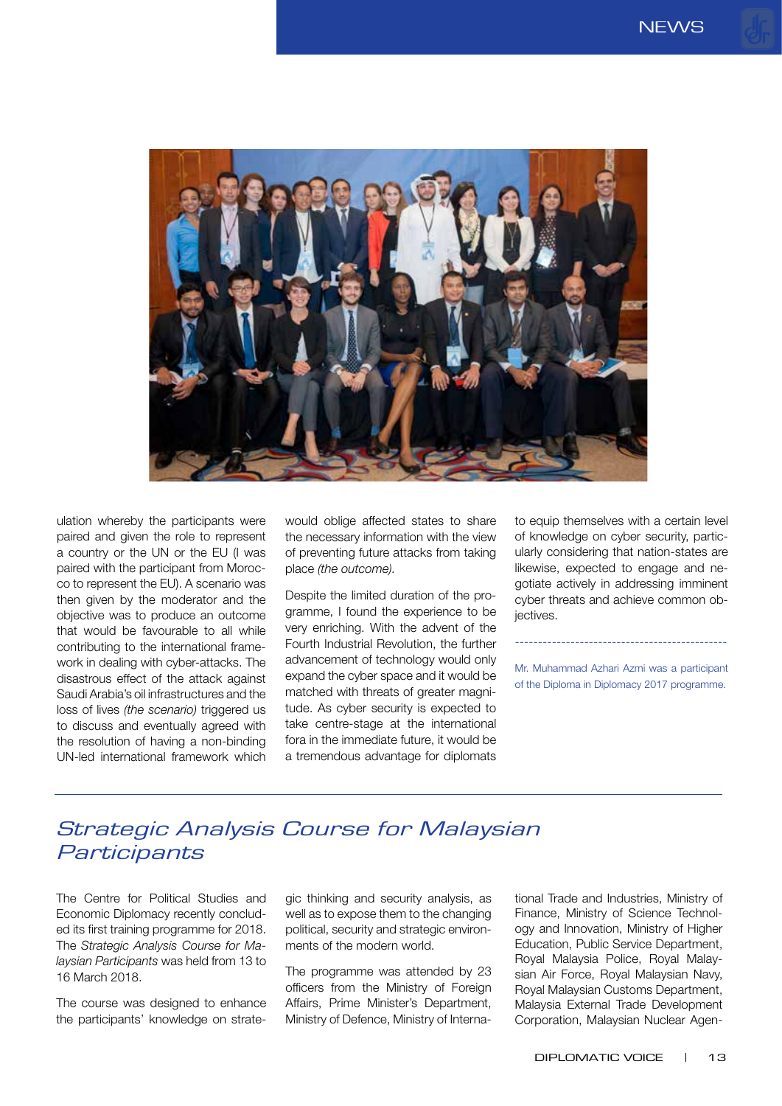

ulation whereby the participants were paired and given the role to represent a country or the UN or the EU (I was paired with the participant from Morocco to represent the EU). A scenario was then given by the moderator and the objective was to produce an outcome that would be favourable to all while contributing to the international framework in dealing with cyber-attacks. The disastrous effect of the attack against Saudi Arabia's oil infrastructures and the loss of lives *(the scenario)* triggered us to discuss and eventually agreed with the resolution of having a non-binding UN-led international framework which would oblige affected states to share the necessary information with the view of preventing future attacks from taking place *(the outcome).*

Despite the limited duration of the programme, I found the experience to be very enriching. With the advent of the Fourth Industrial Revolution, the further advancement of technology would only expand the cyber space and it would be matched with threats of greater magnitude. As cyber security is expected to take centre-stage at the international fora in the immediate future, it would be a tremendous advantage for diplomats

to equip themselves with a certain level of knowledge on cyber security, particularly considering that nation-states are likewise, expected to engage and negotiate actively in addressing imminent cyber threats and achieve common objectives.

Mr. Muhammad Azhari Azmi was a participant of the Diploma in Diplomacy 2017 programme.

----------------------------------------------

## Strategic Analysis Course for Malaysian **Participants**

The Centre for Political Studies and Economic Diplomacy recently concluded its first training programme for 2018. The *Strategic Analysis Course for Malaysian Participants* was held from 13 to 16 March 2018.

The course was designed to enhance the participants' knowledge on strategic thinking and security analysis, as well as to expose them to the changing political, security and strategic environments of the modern world.

The programme was attended by 23 officers from the Ministry of Foreign Affairs, Prime Minister's Department, Ministry of Defence, Ministry of International Trade and Industries, Ministry of Finance, Ministry of Science Technology and Innovation, Ministry of Higher Education, Public Service Department, Royal Malaysia Police, Royal Malaysian Air Force, Royal Malaysian Navy, Royal Malaysian Customs Department, Malaysia External Trade Development Corporation, Malaysian Nuclear Agen-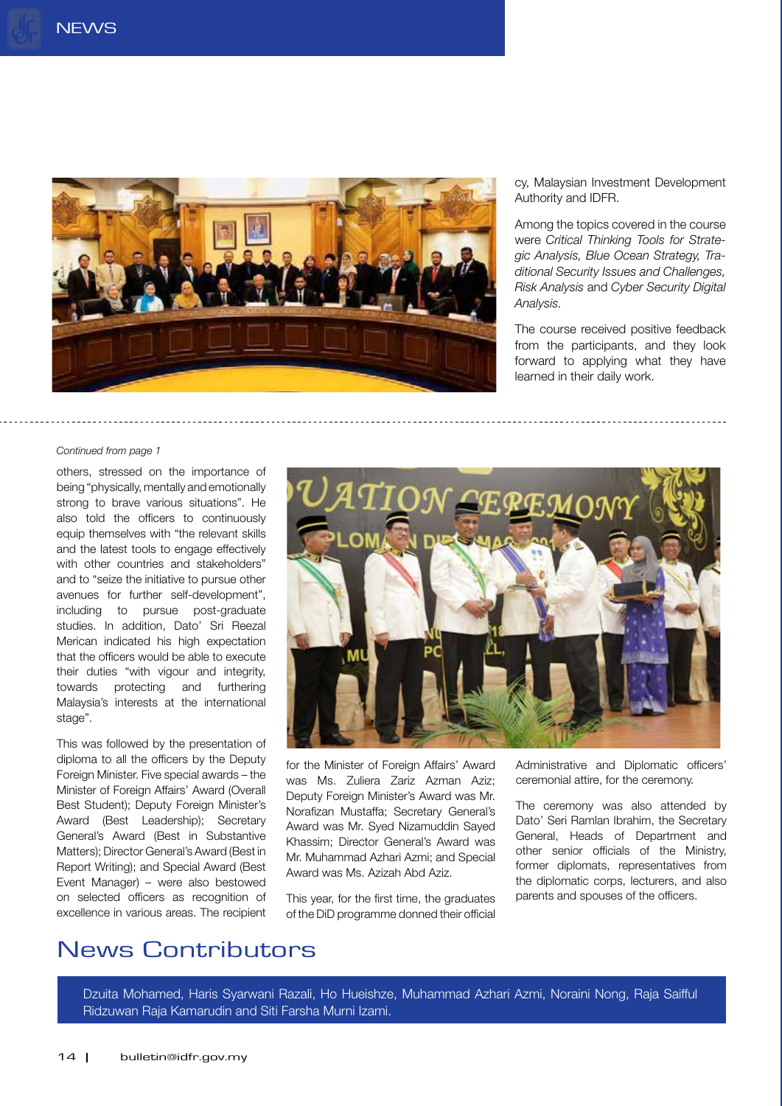

cy, Malaysian Investment Development Authority and IDFR.

Among the topics covered in the course were *Critical Thinking Tools for Strategic Analysis, Blue Ocean Strategy, Traditional Security Issues and Challenges, Risk Analysis* and *Cyber Security Digital Analysis.*

The course received positive feedback from the participants, and they look forward to applying what they have learned in their daily work.

#### *Continued from page 1*

others, stressed on the importance of being "physically, mentally and emotionally strong to brave various situations". He also told the officers to continuously equip themselves with "the relevant skills and the latest tools to engage effectively with other countries and stakeholders" and to "seize the initiative to pursue other avenues for further self-development", including to pursue post-graduate studies. In addition, Dato' Sri Reezal Merican indicated his high expectation that the officers would be able to execute their duties "with vigour and integrity, towards protecting and furthering Malaysia's interests at the international stage".

This was followed by the presentation of diploma to all the officers by the Deputy Foreign Minister. Five special awards – the Minister of Foreign Affairs' Award (Overall Best Student); Deputy Foreign Minister's Award (Best Leadership); Secretary General's Award (Best in Substantive Matters); Director General's Award (Best in Report Writing); and Special Award (Best Event Manager) – were also bestowed on selected officers as recognition of excellence in various areas. The recipient



for the Minister of Foreign Affairs' Award was Ms. Zuliera Zariz Azman Aziz; Deputy Foreign Minister's Award was Mr. Norafizan Mustaffa; Secretary General's Award was Mr. Syed Nizamuddin Sayed Khassim; Director General's Award was Mr. Muhammad Azhari Azmi; and Special Award was Ms. Azizah Abd Aziz.

This year, for the first time, the graduates of the DiD programme donned their official

Administrative and Diplomatic officers' ceremonial attire, for the ceremony.

The ceremony was also attended by Dato' Seri Ramlan Ibrahim, the Secretary General, Heads of Department and other senior officials of the Ministry, former diplomats, representatives from the diplomatic corps, lecturers, and also parents and spouses of the officers.

## News Contributors

Dzuita Mohamed, Haris Syarwani Razali, Ho Hueishze, Muhammad Azhari Azmi, Noraini Nong, Raja Saifful Ridzuwan Raja Kamarudin and Siti Farsha Murni Izami.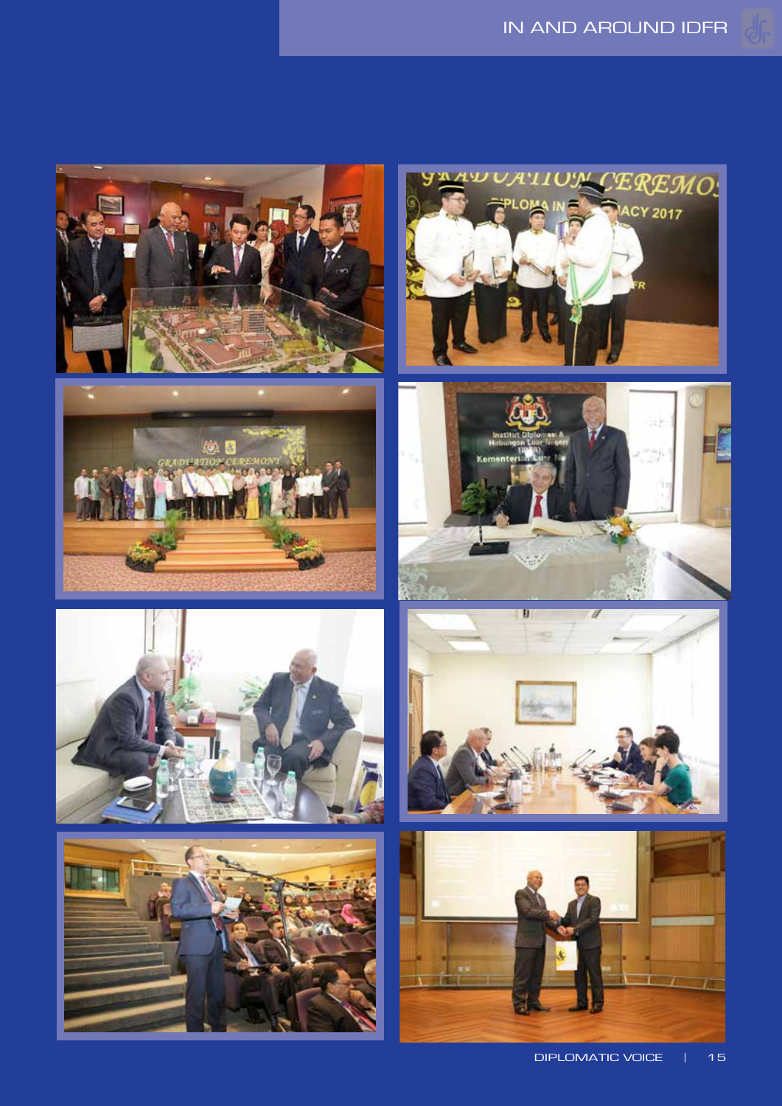